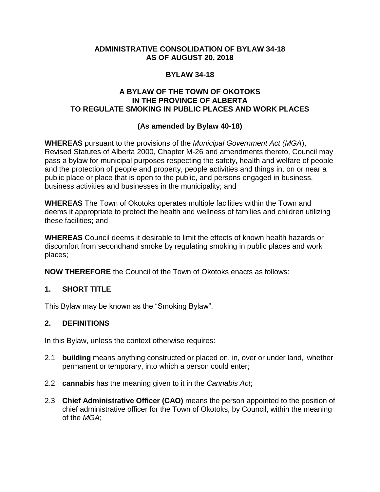#### **ADMINISTRATIVE CONSOLIDATION OF BYLAW 34-18 AS OF AUGUST 20, 2018**

#### **BYLAW 34-18**

#### **A BYLAW OF THE TOWN OF OKOTOKS IN THE PROVINCE OF ALBERTA TO REGULATE SMOKING IN PUBLIC PLACES AND WORK PLACES**

## **(As amended by Bylaw 40-18)**

**WHEREAS** pursuant to the provisions of the *Municipal Government Act (MGA*), Revised Statutes of Alberta 2000, Chapter M-26 and amendments thereto, Council may pass a bylaw for municipal purposes respecting the safety, health and welfare of people and the protection of people and property, people activities and things in, on or near a public place or place that is open to the public, and persons engaged in business, business activities and businesses in the municipality; and

**WHEREAS** The Town of Okotoks operates multiple facilities within the Town and deems it appropriate to protect the health and wellness of families and children utilizing these facilities; and

**WHEREAS** Council deems it desirable to limit the effects of known health hazards or discomfort from secondhand smoke by regulating smoking in public places and work places;

**NOW THEREFORE** the Council of the Town of Okotoks enacts as follows:

## **1. SHORT TITLE**

This Bylaw may be known as the "Smoking Bylaw".

#### **2. DEFINITIONS**

In this Bylaw, unless the context otherwise requires:

- 2.1 **building** means anything constructed or placed on, in, over or under land, whether permanent or temporary, into which a person could enter;
- 2.2 **cannabis** has the meaning given to it in the *Cannabis Act*;
- 2.3 **Chief Administrative Officer (CAO)** means the person appointed to the position of chief administrative officer for the Town of Okotoks, by Council, within the meaning of the *MGA*;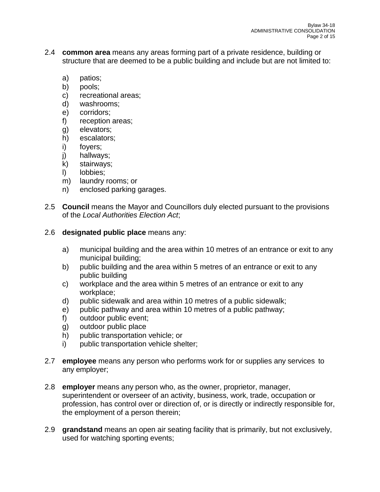- 2.4 **common area** means any areas forming part of a private residence, building or structure that are deemed to be a public building and include but are not limited to:
	- a) patios;
	- b) pools;
	- c) recreational areas;
	- d) washrooms;
	- e) corridors;
	- f) reception areas;
	- g) elevators;
	- h) escalators;
	- i) foyers;
	- j) hallways;
	- k) stairways;
	- l) lobbies;
	- m) laundry rooms; or
	- n) enclosed parking garages.
- 2.5 **Council** means the Mayor and Councillors duly elected pursuant to the provisions of the *Local Authorities Election Act*;
- 2.6 **designated public place** means any:
	- a) municipal building and the area within 10 metres of an entrance or exit to any municipal building;
	- b) public building and the area within 5 metres of an entrance or exit to any public building
	- c) workplace and the area within 5 metres of an entrance or exit to any workplace;
	- d) public sidewalk and area within 10 metres of a public sidewalk;
	- e) public pathway and area within 10 metres of a public pathway;
	- f) outdoor public event;
	- g) outdoor public place
	- h) public transportation vehicle; or
	- i) public transportation vehicle shelter;
- 2.7 **employee** means any person who performs work for or supplies any services to any employer;
- 2.8 **employer** means any person who, as the owner, proprietor, manager, superintendent or overseer of an activity, business, work, trade, occupation or profession, has control over or direction of, or is directly or indirectly responsible for, the employment of a person therein;
- 2.9 **grandstand** means an open air seating facility that is primarily, but not exclusively, used for watching sporting events;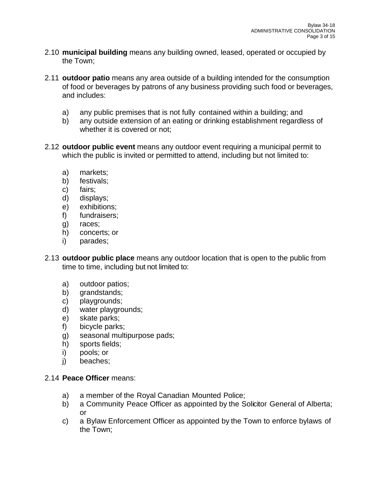- 2.10 **municipal building** means any building owned, leased, operated or occupied by the Town;
- 2.11 **outdoor patio** means any area outside of a building intended for the consumption of food or beverages by patrons of any business providing such food or beverages, and includes:
	- a) any public premises that is not fully contained within a building; and
	- b) any outside extension of an eating or drinking establishment regardless of whether it is covered or not;
- 2.12 **outdoor public event** means any outdoor event requiring a municipal permit to which the public is invited or permitted to attend, including but not limited to:
	- a) markets;
	- b) festivals;
	- c) fairs;
	- d) displays;
	- e) exhibitions;
	- f) fundraisers;
	- g) races;
	- h) concerts; or
	- i) parades;
- 2.13 **outdoor public place** means any outdoor location that is open to the public from time to time, including but not limited to:
	- a) outdoor patios;
	- b) grandstands;
	- c) playgrounds;
	- d) water playgrounds;
	- e) skate parks;
	- f) bicycle parks;
	- g) seasonal multipurpose pads;
	- h) sports fields;
	- i) pools; or
	- j) beaches;

#### 2.14 **Peace Officer** means:

- a) a member of the Royal Canadian Mounted Police;
- b) a Community Peace Officer as appointed by the Solicitor General of Alberta; or
- c) a Bylaw Enforcement Officer as appointed by the Town to enforce bylaws of the Town;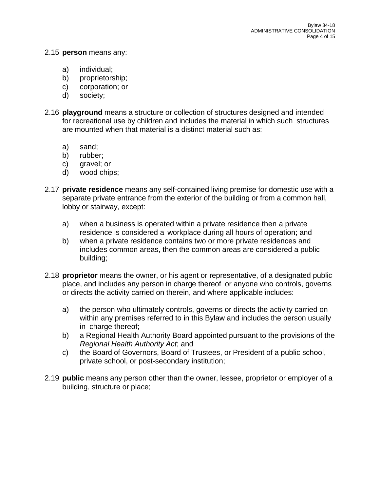#### 2.15 **person** means any:

- a) individual;
- b) proprietorship;
- c) corporation; or
- d) society;
- 2.16 **playground** means a structure or collection of structures designed and intended for recreational use by children and includes the material in which such structures are mounted when that material is a distinct material such as:
	- a) sand;
	- b) rubber;
	- c) gravel; or
	- d) wood chips;
- 2.17 **private residence** means any self-contained living premise for domestic use with a separate private entrance from the exterior of the building or from a common hall, lobby or stairway, except:
	- a) when a business is operated within a private residence then a private residence is considered a workplace during all hours of operation; and
	- b) when a private residence contains two or more private residences and includes common areas, then the common areas are considered a public building;
- 2.18 **proprietor** means the owner, or his agent or representative, of a designated public place, and includes any person in charge thereof or anyone who controls, governs or directs the activity carried on therein, and where applicable includes:
	- a) the person who ultimately controls, governs or directs the activity carried on within any premises referred to in this Bylaw and includes the person usually in charge thereof;
	- b) a Regional Health Authority Board appointed pursuant to the provisions of the *Regional Health Authority Act*; and
	- c) the Board of Governors, Board of Trustees, or President of a public school, private school, or post-secondary institution;
- 2.19 **public** means any person other than the owner, lessee, proprietor or employer of a building, structure or place;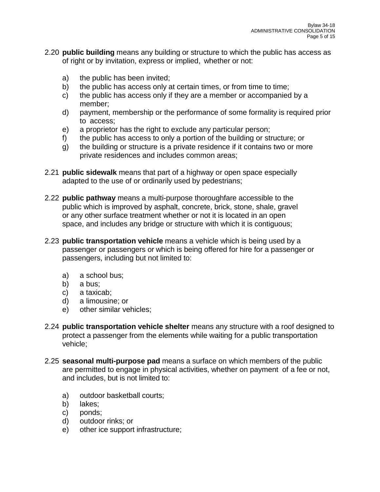- 2.20 **public building** means any building or structure to which the public has access as of right or by invitation, express or implied, whether or not:
	- a) the public has been invited;
	- b) the public has access only at certain times, or from time to time;
	- c) the public has access only if they are a member or accompanied by a member;
	- d) payment, membership or the performance of some formality is required prior to access;
	- e) a proprietor has the right to exclude any particular person;
	- f) the public has access to only a portion of the building or structure; or
	- g) the building or structure is a private residence if it contains two or more private residences and includes common areas;
- 2.21 **public sidewalk** means that part of a highway or open space especially adapted to the use of or ordinarily used by pedestrians;
- 2.22 **public pathway** means a multi-purpose thoroughfare accessible to the public which is improved by asphalt, concrete, brick, stone, shale, gravel or any other surface treatment whether or not it is located in an open space, and includes any bridge or structure with which it is contiguous;
- 2.23 **public transportation vehicle** means a vehicle which is being used by a passenger or passengers or which is being offered for hire for a passenger or passengers, including but not limited to:
	- a) a school bus;
	- b) a bus;
	- c) a taxicab;
	- d) a limousine; or
	- e) other similar vehicles;
- 2.24 **public transportation vehicle shelter** means any structure with a roof designed to protect a passenger from the elements while waiting for a public transportation vehicle;
- 2.25 **seasonal multi-purpose pad** means a surface on which members of the public are permitted to engage in physical activities, whether on payment of a fee or not, and includes, but is not limited to:
	- a) outdoor basketball courts;
	- b) lakes;
	- c) ponds;
	- d) outdoor rinks; or
	- e) other ice support infrastructure;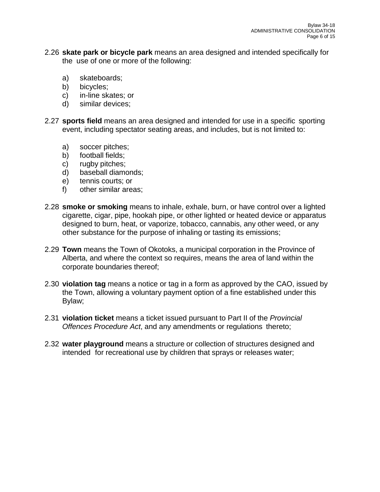- 2.26 **skate park or bicycle park** means an area designed and intended specifically for the use of one or more of the following:
	- a) skateboards;
	- b) bicycles;
	- c) in-line skates; or
	- d) similar devices;
- 2.27 **sports field** means an area designed and intended for use in a specific sporting event, including spectator seating areas, and includes, but is not limited to:
	- a) soccer pitches;
	- b) football fields;
	- c) rugby pitches;
	- d) baseball diamonds;
	- e) tennis courts; or
	- f) other similar areas;
- 2.28 **smoke or smoking** means to inhale, exhale, burn, or have control over a lighted cigarette, cigar, pipe, hookah pipe, or other lighted or heated device or apparatus designed to burn, heat, or vaporize, tobacco, cannabis, any other weed, or any other substance for the purpose of inhaling or tasting its emissions;
- 2.29 **Town** means the Town of Okotoks, a municipal corporation in the Province of Alberta, and where the context so requires, means the area of land within the corporate boundaries thereof;
- 2.30 **violation tag** means a notice or tag in a form as approved by the CAO, issued by the Town, allowing a voluntary payment option of a fine established under this Bylaw;
- 2.31 **violation ticket** means a ticket issued pursuant to Part II of the *Provincial Offences Procedure Act*, and any amendments or regulations thereto;
- 2.32 **water playground** means a structure or collection of structures designed and intended for recreational use by children that sprays or releases water;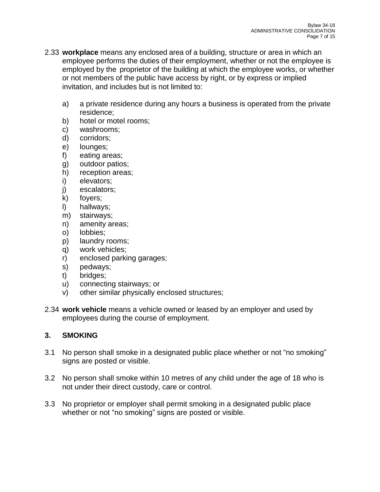- 2.33 **workplace** means any enclosed area of a building, structure or area in which an employee performs the duties of their employment, whether or not the employee is employed by the proprietor of the building at which the employee works, or whether or not members of the public have access by right, or by express or implied invitation, and includes but is not limited to:
	- a) a private residence during any hours a business is operated from the private residence;
	- b) hotel or motel rooms;
	- c) washrooms;
	- d) corridors;
	- e) lounges;
	- f) eating areas;
	- g) outdoor patios;
	- h) reception areas;
	- i) elevators;
	- j) escalators;
	- k) foyers;
	- l) hallways;
	- m) stairways;
	- n) amenity areas;
	- o) lobbies;
	- p) laundry rooms;
	- q) work vehicles;
	- r) enclosed parking garages;
	- s) pedways;
	- t) bridges;
	- u) connecting stairways; or
	- v) other similar physically enclosed structures;
- 2.34 **work vehicle** means a vehicle owned or leased by an employer and used by employees during the course of employment.

## **3. SMOKING**

- 3.1 No person shall smoke in a designated public place whether or not "no smoking" signs are posted or visible.
- 3.2 No person shall smoke within 10 metres of any child under the age of 18 who is not under their direct custody, care or control.
- 3.3 No proprietor or employer shall permit smoking in a designated public place whether or not "no smoking" signs are posted or visible.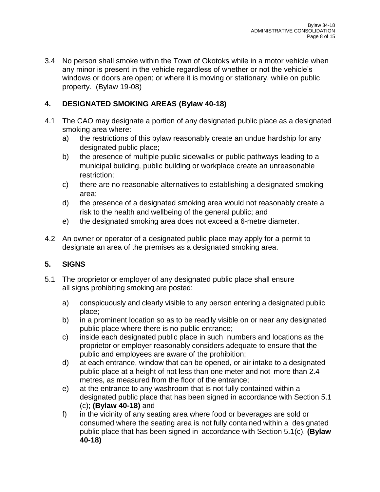3.4 No person shall smoke within the Town of Okotoks while in a motor vehicle when any minor is present in the vehicle regardless of whether or not the vehicle's windows or doors are open; or where it is moving or stationary, while on public property. (Bylaw 19-08)

# **4. DESIGNATED SMOKING AREAS (Bylaw 40-18)**

- 4.1 The CAO may designate a portion of any designated public place as a designated smoking area where:
	- a) the restrictions of this bylaw reasonably create an undue hardship for any designated public place;
	- b) the presence of multiple public sidewalks or public pathways leading to a municipal building, public building or workplace create an unreasonable restriction;
	- c) there are no reasonable alternatives to establishing a designated smoking area;
	- d) the presence of a designated smoking area would not reasonably create a risk to the health and wellbeing of the general public; and
	- e) the designated smoking area does not exceed a 6-metre diameter.
- 4.2 An owner or operator of a designated public place may apply for a permit to designate an area of the premises as a designated smoking area.

## **5. SIGNS**

- 5.1 The proprietor or employer of any designated public place shall ensure all signs prohibiting smoking are posted:
	- a) conspicuously and clearly visible to any person entering a designated public place;
	- b) in a prominent location so as to be readily visible on or near any designated public place where there is no public entrance;
	- c) inside each designated public place in such numbers and locations as the proprietor or employer reasonably considers adequate to ensure that the public and employees are aware of the prohibition;
	- d) at each entrance, window that can be opened, or air intake to a designated public place at a height of not less than one meter and not more than 2.4 metres, as measured from the floor of the entrance;
	- e) at the entrance to any washroom that is not fully contained within a designated public place that has been signed in accordance with Section 5.1 (c); **(Bylaw 40-18)** and
	- f) in the vicinity of any seating area where food or beverages are sold or consumed where the seating area is not fully contained within a designated public place that has been signed in accordance with Section 5.1(c). **(Bylaw 40-18)**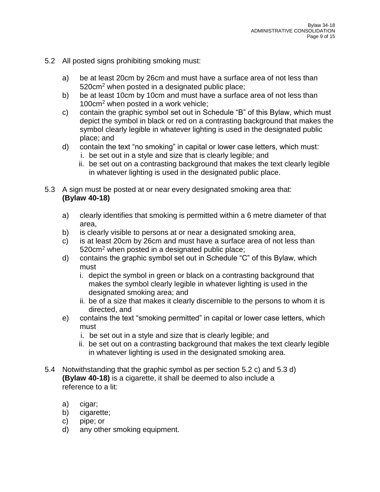- 5.2 All posted signs prohibiting smoking must:
	- a) be at least 20cm by 26cm and must have a surface area of not less than 520cm<sup>2</sup> when posted in a designated public place;
	- b) be at least 10cm by 10cm and must have a surface area of not less than 100cm<sup>2</sup> when posted in a work vehicle;
	- c) contain the graphic symbol set out in Schedule "B" of this Bylaw, which must depict the symbol in black or red on a contrasting background that makes the symbol clearly legible in whatever lighting is used in the designated public place; and
	- d) contain the text "no smoking" in capital or lower case letters, which must:
		- i. be set out in a style and size that is clearly legible; and
		- ii. be set out on a contrasting background that makes the text clearly legible in whatever lighting is used in the designated public place.
- 5.3 A sign must be posted at or near every designated smoking area that: **(Bylaw 40-18)**
	- a) clearly identifies that smoking is permitted within a 6 metre diameter of that area,
	- b) is clearly visible to persons at or near a designated smoking area,
	- c) is at least 20cm by 26cm and must have a surface area of not less than 520cm<sup>2</sup> when posted in a designated public place;
	- d) contains the graphic symbol set out in Schedule "C" of this Bylaw, which must
		- i. depict the symbol in green or black on a contrasting background that makes the symbol clearly legible in whatever lighting is used in the designated smoking area; and
		- ii. be of a size that makes it clearly discernible to the persons to whom it is directed, and
	- e) contains the text "smoking permitted" in capital or lower case letters, which must
		- i. be set out in a style and size that is clearly legible; and
		- ii. be set out on a contrasting background that makes the text clearly legible in whatever lighting is used in the designated smoking area.
- 5.4 Notwithstanding that the graphic symbol as per section 5.2 c) and 5.3 d) **(Bylaw 40-18)** is a cigarette, it shall be deemed to also include a reference to a lit:
	- a) cigar;
	- b) cigarette;
	- c) pipe; or
	- d) any other smoking equipment.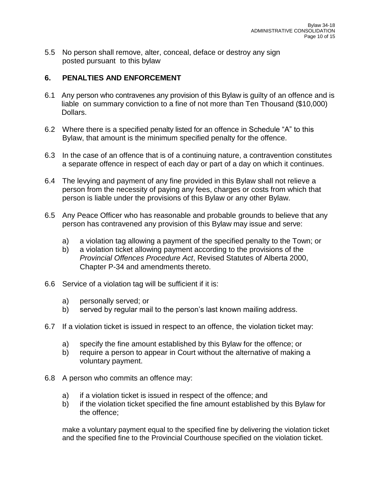5.5 No person shall remove, alter, conceal, deface or destroy any sign posted pursuant to this bylaw

## **6. PENALTIES AND ENFORCEMENT**

- 6.1 Any person who contravenes any provision of this Bylaw is guilty of an offence and is liable on summary conviction to a fine of not more than Ten Thousand (\$10,000) Dollars.
- 6.2 Where there is a specified penalty listed for an offence in Schedule "A" to this Bylaw, that amount is the minimum specified penalty for the offence.
- 6.3 In the case of an offence that is of a continuing nature, a contravention constitutes a separate offence in respect of each day or part of a day on which it continues.
- 6.4 The levying and payment of any fine provided in this Bylaw shall not relieve a person from the necessity of paying any fees, charges or costs from which that person is liable under the provisions of this Bylaw or any other Bylaw.
- 6.5 Any Peace Officer who has reasonable and probable grounds to believe that any person has contravened any provision of this Bylaw may issue and serve:
	- a) a violation tag allowing a payment of the specified penalty to the Town; or
	- b) a violation ticket allowing payment according to the provisions of the *Provincial Offences Procedure Act*, Revised Statutes of Alberta 2000, Chapter P-34 and amendments thereto.
- 6.6 Service of a violation tag will be sufficient if it is:
	- a) personally served; or
	- b) served by regular mail to the person's last known mailing address.
- 6.7 If a violation ticket is issued in respect to an offence, the violation ticket may:
	- a) specify the fine amount established by this Bylaw for the offence; or
	- b) require a person to appear in Court without the alternative of making a voluntary payment.
- 6.8 A person who commits an offence may:
	- a) if a violation ticket is issued in respect of the offence; and
	- b) if the violation ticket specified the fine amount established by this Bylaw for the offence;

make a voluntary payment equal to the specified fine by delivering the violation ticket and the specified fine to the Provincial Courthouse specified on the violation ticket.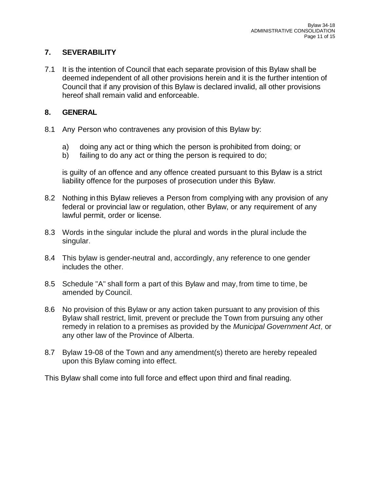# **7. SEVERABILITY**

7.1 It is the intention of Council that each separate provision of this Bylaw shall be deemed independent of all other provisions herein and it is the further intention of Council that if any provision of this Bylaw is declared invalid, all other provisions hereof shall remain valid and enforceable.

## **8. GENERAL**

- 8.1 Any Person who contravenes any provision of this Bylaw by:
	- a) doing any act or thing which the person is prohibited from doing; or
	- b) failing to do any act or thing the person is required to do;

is guilty of an offence and any offence created pursuant to this Bylaw is a strict liability offence for the purposes of prosecution under this Bylaw.

- 8.2 Nothing in this Bylaw relieves a Person from complying with any provision of any federal or provincial law or regulation, other Bylaw, or any requirement of any lawful permit, order or license.
- 8.3 Words in the singular include the plural and words in the plural include the singular.
- 8.4 This bylaw is gender-neutral and, accordingly, any reference to one gender includes the other.
- 8.5 Schedule "A" shall form a part of this Bylaw and may, from time to time, be amended by Council.
- 8.6 No provision of this Bylaw or any action taken pursuant to any provision of this Bylaw shall restrict, limit, prevent or preclude the Town from pursuing any other remedy in relation to a premises as provided by the *Municipal Government Act*, or any other law of the Province of Alberta.
- 8.7 Bylaw 19-08 of the Town and any amendment(s) thereto are hereby repealed upon this Bylaw coming into effect.

This Bylaw shall come into full force and effect upon third and final reading.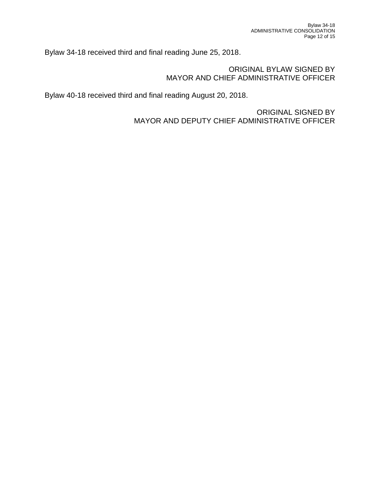Bylaw 34-18 received third and final reading June 25, 2018.

#### ORIGINAL BYLAW SIGNED BY MAYOR AND CHIEF ADMINISTRATIVE OFFICER

Bylaw 40-18 received third and final reading August 20, 2018.

ORIGINAL SIGNED BY MAYOR AND DEPUTY CHIEF ADMINISTRATIVE OFFICER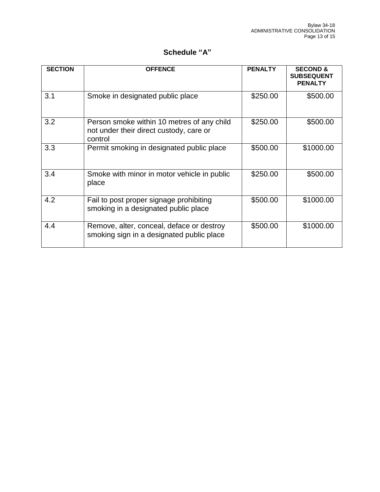# **Schedule "A"**

| <b>SECTION</b> | <b>OFFENCE</b>                                                                                   | <b>PENALTY</b> | <b>SECOND &amp;</b><br><b>SUBSEQUENT</b><br><b>PENALTY</b> |
|----------------|--------------------------------------------------------------------------------------------------|----------------|------------------------------------------------------------|
| 3.1            | Smoke in designated public place                                                                 | \$250.00       | \$500.00                                                   |
| 3.2            | Person smoke within 10 metres of any child<br>not under their direct custody, care or<br>control | \$250.00       | \$500.00                                                   |
| 3.3            | Permit smoking in designated public place                                                        | \$500.00       | \$1000.00                                                  |
| 3.4            | Smoke with minor in motor vehicle in public<br>place                                             | \$250.00       | \$500.00                                                   |
| 4.2            | Fail to post proper signage prohibiting<br>smoking in a designated public place                  | \$500.00       | \$1000.00                                                  |
| 4.4            | Remove, alter, conceal, deface or destroy<br>smoking sign in a designated public place           | \$500.00       | \$1000.00                                                  |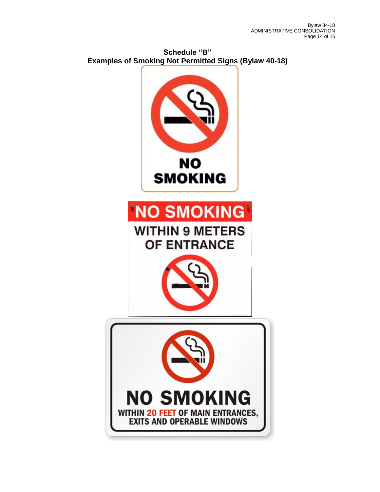